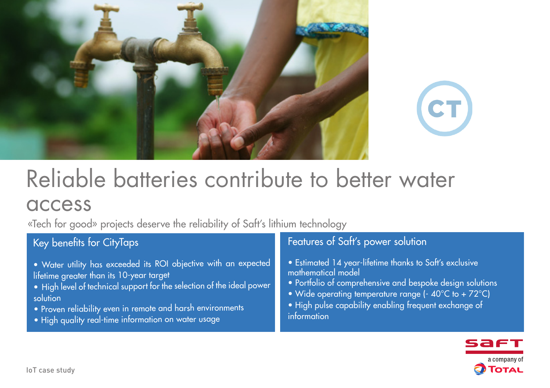



# Reliable batteries contribute to better water access

«Tech for good» projects deserve the reliability of Saft's lithium technology

## Key benefits for CityTaps

- Water utility has exceeded its ROI objective with an expected lifetime greater than its 10-year target
- High level of technical support for the selection of the ideal power solution
- Proven reliability even in remote and harsh environments
- High quality real-time information on water usage

## Features of Saft's power solution

- Estimated 14 year-lifetime thanks to Saft's exclusive mathematical model
- Portfolio of comprehensive and bespoke design solutions
- Wide operating temperature range (- 40°C to + 72°C)
- High pulse capability enabling frequent exchange of information